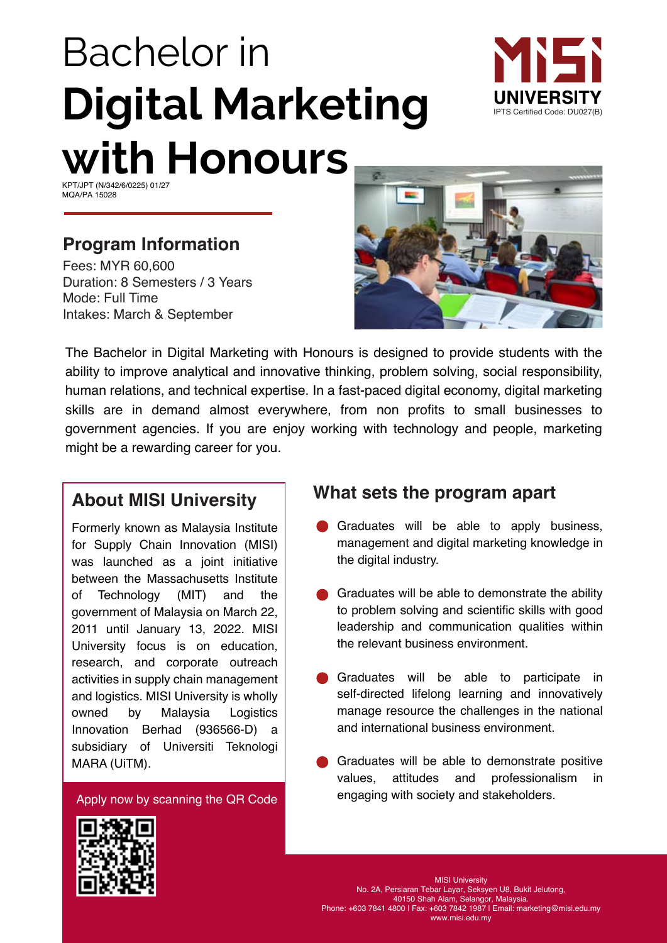# Bachelor in **Digital Marketing with Honours**



KPT/JPT (N/342/6/0225) 01/27 MQA/PA 15028

## **Program Information**

Fees: MYR 60,600 Duration: 8 Semesters / 3 Years Mode: Full Time Intakes: March & September



The Bachelor in Digital Marketing with Honours is designed to provide students with the ability to improve analytical and innovative thinking, problem solving, social responsibility, human relations, and technical expertise. In a fast-paced digital economy, digital marketing skills are in demand almost everywhere, from non profits to small businesses to government agencies. If you are enjoy working with technology and people, marketing might be a rewarding career for you.

## **About MISI University**

owned by Malaysia Innovation Berhad (936566-D) a Formerly known as Malaysia Institute for Supply Chain Innovation (MISI) was launched as a joint initiative between the Massachusetts Institute of Technology (MIT) and the government of Malaysia on March 22, 2011 until January 13, 2022. MISI University focus is on education, research, and corporate outreach activities in supply chain management and logistics. MISI University is wholly Logistics subsidiary of Universiti Teknologi MARA (UiTM).

Apply now by scanning the QR Code

## **What sets the program apart**

- Graduates will be able to apply business, management and digital marketing knowledge in the digital industry.
- Graduates will be able to demonstrate the ability to problem solving and scientific skills with good leadership and communication qualities within the relevant business environment.
- Graduates will be able to participate in self-directed lifelong learning and innovatively manage resource the challenges in the national and international business environment.
- Graduates will be able to demonstrate positive values, attitudes and professionalism in engaging with society and stakeholders.